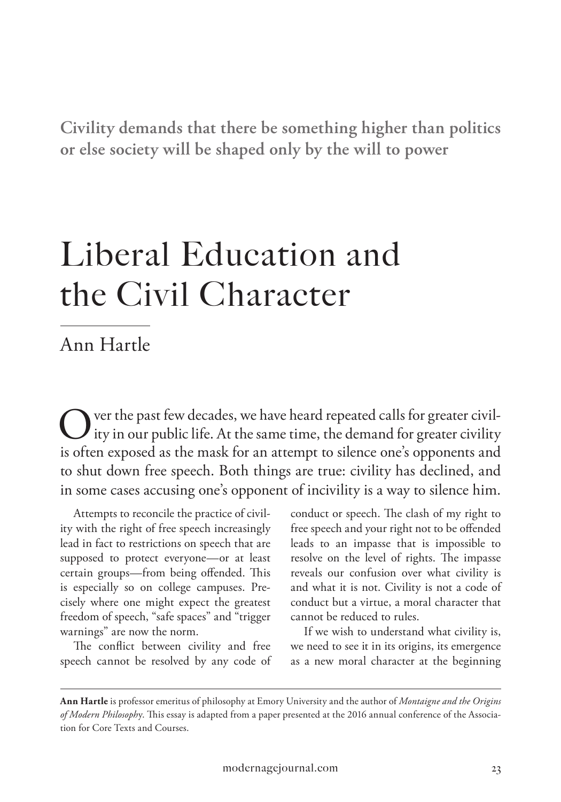**Civility demands that there be something higher than politics or else society will be shaped only by the will to power**

## Liberal Education and the Civil Character

## Ann Hartle

Over the past few decades, we have heard repeated calls for greater civil-<br>ity in our public life. At the same time, the demand for greater civility is often exposed as the mask for an attempt to silence one's opponents and to shut down free speech. Both things are true: civility has declined, and in some cases accusing one's opponent of incivility is a way to silence him.

Attempts to reconcile the practice of civility with the right of free speech increasingly lead in fact to restrictions on speech that are supposed to protect everyone—or at least certain groups—from being offended. This is especially so on college campuses. Precisely where one might expect the greatest freedom of speech, "safe spaces" and "trigger warnings" are now the norm.

The conflict between civility and free speech cannot be resolved by any code of conduct or speech. The clash of my right to free speech and your right not to be offended leads to an impasse that is impossible to resolve on the level of rights. The impasse reveals our confusion over what civility is and what it is not. Civility is not a code of conduct but a virtue, a moral character that cannot be reduced to rules.

If we wish to understand what civility is, we need to see it in its origins, its emergence as a new moral character at the beginning

**Ann Hartle** is professor emeritus of philosophy at Emory University and the author of *Montaigne and the Origins of Modern Philosoph*y. This essay is adapted from a paper presented at the 2016 annual conference of the Association for Core Texts and Courses.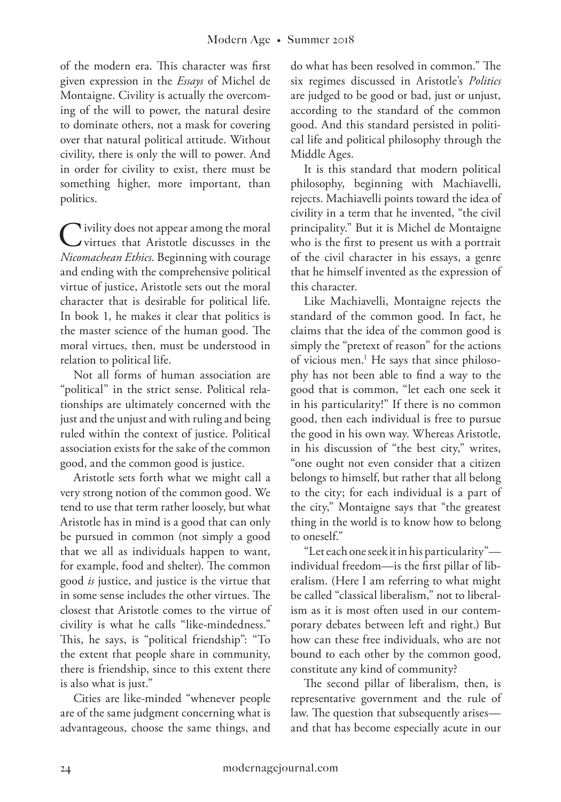of the modern era. This character was first given expression in the *Essays* of Michel de Montaigne. Civility is actually the overcoming of the will to power, the natural desire to dominate others, not a mask for covering over that natural political attitude. Without civility, there is only the will to power. And in order for civility to exist, there must be something higher, more important, than politics.

 $\bigcap$  ivility does not appear among the moral virtues that Aristotle discusses in the *Nicomachean Ethics*. Beginning with courage and ending with the comprehensive political virtue of justice, Aristotle sets out the moral character that is desirable for political life. In book 1, he makes it clear that politics is the master science of the human good. The moral virtues, then, must be understood in relation to political life.

Not all forms of human association are "political" in the strict sense. Political relationships are ultimately concerned with the just and the unjust and with ruling and being ruled within the context of justice. Political association exists for the sake of the common good, and the common good is justice.

Aristotle sets forth what we might call a very strong notion of the common good. We tend to use that term rather loosely, but what Aristotle has in mind is a good that can only be pursued in common (not simply a good that we all as individuals happen to want, for example, food and shelter). The common good *is* justice, and justice is the virtue that in some sense includes the other virtues. The closest that Aristotle comes to the virtue of civility is what he calls "like-mindedness." This, he says, is "political friendship": "To the extent that people share in community, there is friendship, since to this extent there is also what is just."

Cities are like-minded "whenever people are of the same judgment concerning what is advantageous, choose the same things, and do what has been resolved in common." The six regimes discussed in Aristotle's *Politics* are judged to be good or bad, just or unjust, according to the standard of the common good. And this standard persisted in political life and political philosophy through the Middle Ages.

It is this standard that modern political philosophy, beginning with Machiavelli, rejects. Machiavelli points toward the idea of civility in a term that he invented, "the civil principality." But it is Michel de Montaigne who is the first to present us with a portrait of the civil character in his essays, a genre that he himself invented as the expression of this character.

Like Machiavelli, Montaigne rejects the standard of the common good. In fact, he claims that the idea of the common good is simply the "pretext of reason" for the actions of vicious men.<sup>1</sup> He says that since philosophy has not been able to find a way to the good that is common, "let each one seek it in his particularity!" If there is no common good, then each individual is free to pursue the good in his own way. Whereas Aristotle, in his discussion of "the best city," writes, "one ought not even consider that a citizen belongs to himself, but rather that all belong to the city; for each individual is a part of the city," Montaigne says that "the greatest thing in the world is to know how to belong to oneself."

"Let each one seek it in his particularity" individual freedom—is the first pillar of liberalism. (Here I am referring to what might be called "classical liberalism," not to liberalism as it is most often used in our contemporary debates between left and right.) But how can these free individuals, who are not bound to each other by the common good, constitute any kind of community?

The second pillar of liberalism, then, is representative government and the rule of law. The question that subsequently arises and that has become especially acute in our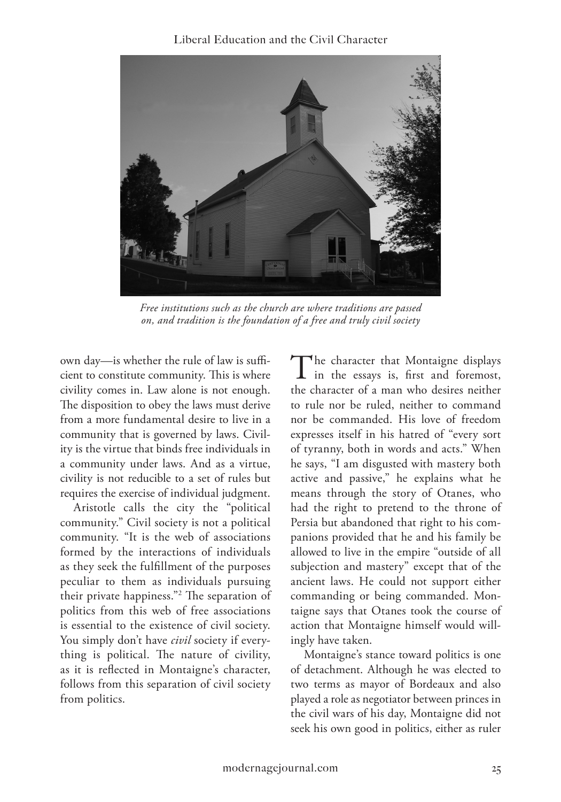Liberal Education and the Civil Character



*Free institutions such as the church are where traditions are passed on, and tradition is the foundation of a free and truly civil society*

own day—is whether the rule of law is sufficient to constitute community. This is where civility comes in. Law alone is not enough. The disposition to obey the laws must derive from a more fundamental desire to live in a community that is governed by laws. Civility is the virtue that binds free individuals in a community under laws. And as a virtue, civility is not reducible to a set of rules but requires the exercise of individual judgment.

Aristotle calls the city the "political community." Civil society is not a political community. "It is the web of associations formed by the interactions of individuals as they seek the fulfillment of the purposes peculiar to them as individuals pursuing their private happiness."2 The separation of politics from this web of free associations is essential to the existence of civil society. You simply don't have *civil* society if everything is political. The nature of civility, as it is reflected in Montaigne's character, follows from this separation of civil society from politics.

The character that Montaigne displays<br>in the essays is, first and foremost, the character of a man who desires neither to rule nor be ruled, neither to command nor be commanded. His love of freedom expresses itself in his hatred of "every sort of tyranny, both in words and acts." When he says, "I am disgusted with mastery both active and passive," he explains what he means through the story of Otanes, who had the right to pretend to the throne of Persia but abandoned that right to his companions provided that he and his family be allowed to live in the empire "outside of all subjection and mastery" except that of the ancient laws. He could not support either commanding or being commanded. Montaigne says that Otanes took the course of action that Montaigne himself would willingly have taken.

Montaigne's stance toward politics is one of detachment. Although he was elected to two terms as mayor of Bordeaux and also played a role as negotiator between princes in the civil wars of his day, Montaigne did not seek his own good in politics, either as ruler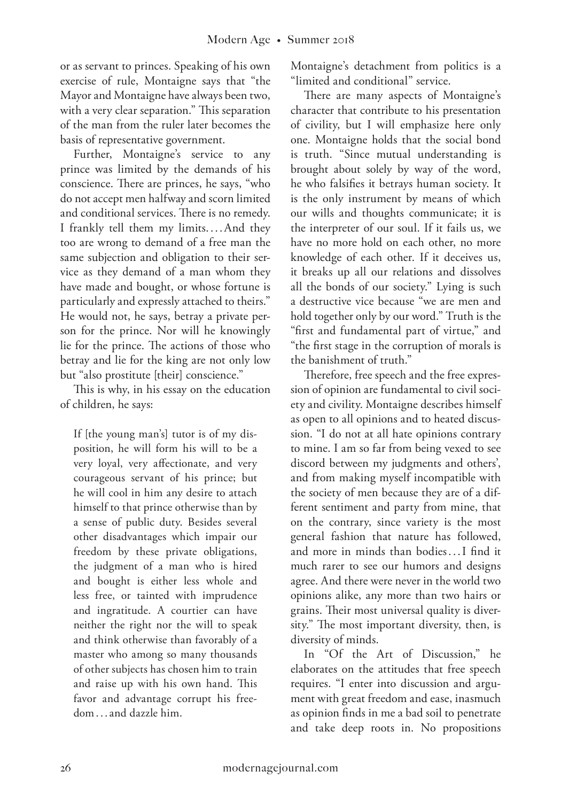or as servant to princes. Speaking of his own exercise of rule, Montaigne says that "the Mayor and Montaigne have always been two, with a very clear separation." This separation of the man from the ruler later becomes the basis of representative government.

Further, Montaigne's service to any prince was limited by the demands of his conscience. There are princes, he says, "who do not accept men halfway and scorn limited and conditional services. There is no remedy. I frankly tell them my limits....And they too are wrong to demand of a free man the same subjection and obligation to their service as they demand of a man whom they have made and bought, or whose fortune is particularly and expressly attached to theirs." He would not, he says, betray a private person for the prince. Nor will he knowingly lie for the prince. The actions of those who betray and lie for the king are not only low but "also prostitute [their] conscience."

This is why, in his essay on the education of children, he says:

If [the young man's] tutor is of my disposition, he will form his will to be a very loyal, very affectionate, and very courageous servant of his prince; but he will cool in him any desire to attach himself to that prince otherwise than by a sense of public duty. Besides several other disadvantages which impair our freedom by these private obligations, the judgment of a man who is hired and bought is either less whole and less free, or tainted with imprudence and ingratitude. A courtier can have neither the right nor the will to speak and think otherwise than favorably of a master who among so many thousands of other subjects has chosen him to train and raise up with his own hand. This favor and advantage corrupt his freedom. . . and dazzle him.

Montaigne's detachment from politics is a "limited and conditional" service.

There are many aspects of Montaigne's character that contribute to his presentation of civility, but I will emphasize here only one. Montaigne holds that the social bond is truth. "Since mutual understanding is brought about solely by way of the word, he who falsifies it betrays human society. It is the only instrument by means of which our wills and thoughts communicate; it is the interpreter of our soul. If it fails us, we have no more hold on each other, no more knowledge of each other. If it deceives us, it breaks up all our relations and dissolves all the bonds of our society." Lying is such a destructive vice because "we are men and hold together only by our word." Truth is the "first and fundamental part of virtue," and "the first stage in the corruption of morals is the banishment of truth."

Therefore, free speech and the free expression of opinion are fundamental to civil society and civility. Montaigne describes himself as open to all opinions and to heated discussion. "I do not at all hate opinions contrary to mine. I am so far from being vexed to see discord between my judgments and others', and from making myself incompatible with the society of men because they are of a different sentiment and party from mine, that on the contrary, since variety is the most general fashion that nature has followed, and more in minds than bodies...I find it much rarer to see our humors and designs agree. And there were never in the world two opinions alike, any more than two hairs or grains. Their most universal quality is diversity." The most important diversity, then, is diversity of minds.

In "Of the Art of Discussion," he elaborates on the attitudes that free speech requires. "I enter into discussion and argument with great freedom and ease, inasmuch as opinion finds in me a bad soil to penetrate and take deep roots in. No propositions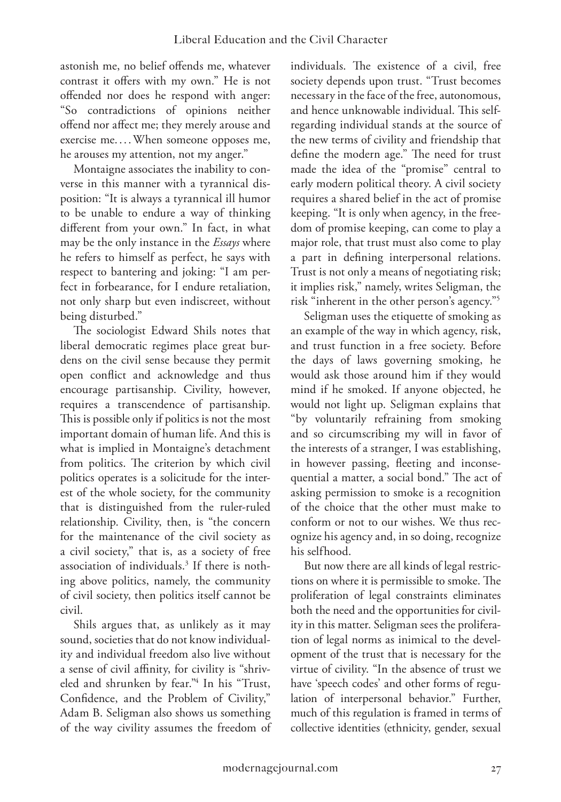astonish me, no belief offends me, whatever contrast it offers with my own." He is not offended nor does he respond with anger: "So contradictions of opinions neither offend nor affect me; they merely arouse and exercise me....When someone opposes me, he arouses my attention, not my anger."

Montaigne associates the inability to converse in this manner with a tyrannical disposition: "It is always a tyrannical ill humor to be unable to endure a way of thinking different from your own." In fact, in what may be the only instance in the *Essays* where he refers to himself as perfect, he says with respect to bantering and joking: "I am perfect in forbearance, for I endure retaliation, not only sharp but even indiscreet, without being disturbed."

The sociologist Edward Shils notes that liberal democratic regimes place great burdens on the civil sense because they permit open conflict and acknowledge and thus encourage partisanship. Civility, however, requires a transcendence of partisanship. This is possible only if politics is not the most important domain of human life. And this is what is implied in Montaigne's detachment from politics. The criterion by which civil politics operates is a solicitude for the interest of the whole society, for the community that is distinguished from the ruler-ruled relationship. Civility, then, is "the concern for the maintenance of the civil society as a civil society," that is, as a society of free association of individuals.3 If there is nothing above politics, namely, the community of civil society, then politics itself cannot be civil.

Shils argues that, as unlikely as it may sound, societies that do not know individuality and individual freedom also live without a sense of civil affinity, for civility is "shriveled and shrunken by fear."4 In his "Trust, Confidence, and the Problem of Civility," Adam B. Seligman also shows us something of the way civility assumes the freedom of

individuals. The existence of a civil, free society depends upon trust. "Trust becomes necessary in the face of the free, autonomous, and hence unknowable individual. This selfregarding individual stands at the source of the new terms of civility and friendship that define the modern age." The need for trust made the idea of the "promise" central to early modern political theory. A civil society requires a shared belief in the act of promise keeping. "It is only when agency, in the freedom of promise keeping, can come to play a major role, that trust must also come to play a part in defining interpersonal relations. Trust is not only a means of negotiating risk; it implies risk," namely, writes Seligman, the risk "inherent in the other person's agency."5

Seligman uses the etiquette of smoking as an example of the way in which agency, risk, and trust function in a free society. Before the days of laws governing smoking, he would ask those around him if they would mind if he smoked. If anyone objected, he would not light up. Seligman explains that "by voluntarily refraining from smoking and so circumscribing my will in favor of the interests of a stranger, I was establishing, in however passing, fleeting and inconsequential a matter, a social bond." The act of asking permission to smoke is a recognition of the choice that the other must make to conform or not to our wishes. We thus recognize his agency and, in so doing, recognize his selfhood.

But now there are all kinds of legal restrictions on where it is permissible to smoke. The proliferation of legal constraints eliminates both the need and the opportunities for civility in this matter. Seligman sees the proliferation of legal norms as inimical to the development of the trust that is necessary for the virtue of civility. "In the absence of trust we have 'speech codes' and other forms of regulation of interpersonal behavior." Further, much of this regulation is framed in terms of collective identities (ethnicity, gender, sexual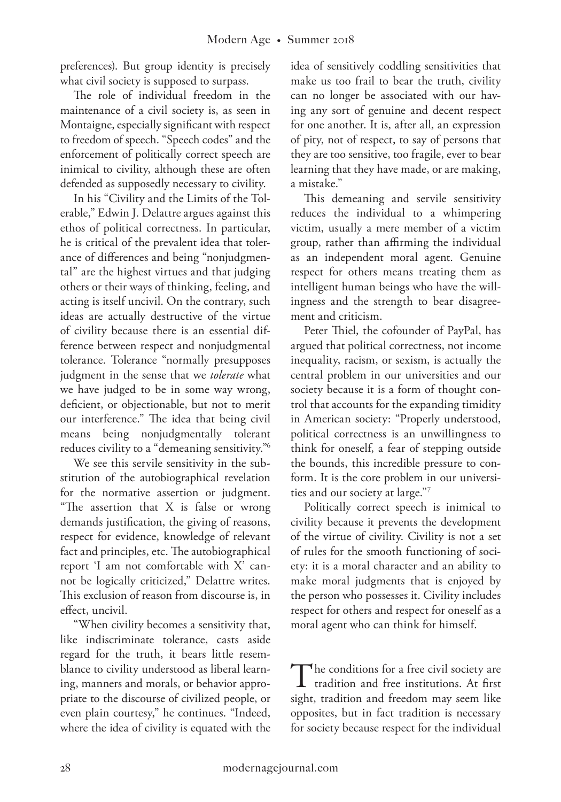preferences). But group identity is precisely what civil society is supposed to surpass.

The role of individual freedom in the maintenance of a civil society is, as seen in Montaigne, especially significant with respect to freedom of speech. "Speech codes" and the enforcement of politically correct speech are inimical to civility, although these are often defended as supposedly necessary to civility.

In his "Civility and the Limits of the Tolerable," Edwin J. Delattre argues against this ethos of political correctness. In particular, he is critical of the prevalent idea that tolerance of differences and being "nonjudgmental" are the highest virtues and that judging others or their ways of thinking, feeling, and acting is itself uncivil. On the contrary, such ideas are actually destructive of the virtue of civility because there is an essential difference between respect and nonjudgmental tolerance. Tolerance "normally presupposes judgment in the sense that we *tolerate* what we have judged to be in some way wrong, deficient, or objectionable, but not to merit our interference." The idea that being civil means being nonjudgmentally tolerant reduces civility to a "demeaning sensitivity."6

We see this servile sensitivity in the substitution of the autobiographical revelation for the normative assertion or judgment. "The assertion that X is false or wrong demands justification, the giving of reasons, respect for evidence, knowledge of relevant fact and principles, etc. The autobiographical report 'I am not comfortable with X' cannot be logically criticized," Delattre writes. This exclusion of reason from discourse is, in effect, uncivil.

"When civility becomes a sensitivity that, like indiscriminate tolerance, casts aside regard for the truth, it bears little resemblance to civility understood as liberal learning, manners and morals, or behavior appropriate to the discourse of civilized people, or even plain courtesy," he continues. "Indeed, where the idea of civility is equated with the

idea of sensitively coddling sensitivities that make us too frail to bear the truth, civility can no longer be associated with our having any sort of genuine and decent respect for one another. It is, after all, an expression of pity, not of respect, to say of persons that they are too sensitive, too fragile, ever to bear learning that they have made, or are making, a mistake."

This demeaning and servile sensitivity reduces the individual to a whimpering victim, usually a mere member of a victim group, rather than affirming the individual as an independent moral agent. Genuine respect for others means treating them as intelligent human beings who have the willingness and the strength to bear disagreement and criticism.

Peter Thiel, the cofounder of PayPal, has argued that political correctness, not income inequality, racism, or sexism, is actually the central problem in our universities and our society because it is a form of thought control that accounts for the expanding timidity in American society: "Properly understood, political correctness is an unwillingness to think for oneself, a fear of stepping outside the bounds, this incredible pressure to conform. It is the core problem in our universities and our society at large."7

Politically correct speech is inimical to civility because it prevents the development of the virtue of civility. Civility is not a set of rules for the smooth functioning of society: it is a moral character and an ability to make moral judgments that is enjoyed by the person who possesses it. Civility includes respect for others and respect for oneself as a moral agent who can think for himself.

The conditions for a free civil society are tradition and free institutions. At first sight, tradition and freedom may seem like opposites, but in fact tradition is necessary for society because respect for the individual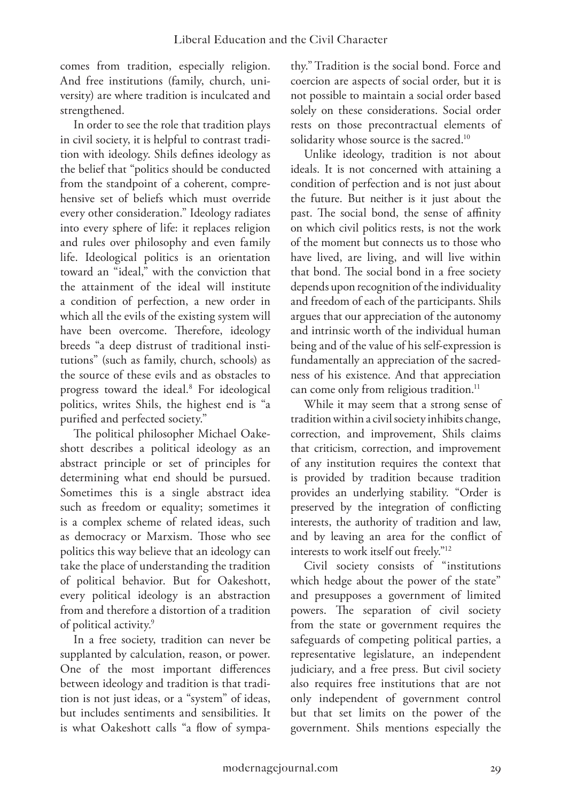comes from tradition, especially religion. And free institutions (family, church, university) are where tradition is inculcated and strengthened.

In order to see the role that tradition plays in civil society, it is helpful to contrast tradition with ideology. Shils defines ideology as the belief that "politics should be conducted from the standpoint of a coherent, comprehensive set of beliefs which must override every other consideration." Ideology radiates into every sphere of life: it replaces religion and rules over philosophy and even family life. Ideological politics is an orientation toward an "ideal," with the conviction that the attainment of the ideal will institute a condition of perfection, a new order in which all the evils of the existing system will have been overcome. Therefore, ideology breeds "a deep distrust of traditional institutions" (such as family, church, schools) as the source of these evils and as obstacles to progress toward the ideal.8 For ideological politics, writes Shils, the highest end is "a purified and perfected society."

The political philosopher Michael Oakeshott describes a political ideology as an abstract principle or set of principles for determining what end should be pursued. Sometimes this is a single abstract idea such as freedom or equality; sometimes it is a complex scheme of related ideas, such as democracy or Marxism. Those who see politics this way believe that an ideology can take the place of understanding the tradition of political behavior. But for Oakeshott, every political ideology is an abstraction from and therefore a distortion of a tradition of political activity.9

In a free society, tradition can never be supplanted by calculation, reason, or power. One of the most important differences between ideology and tradition is that tradition is not just ideas, or a "system" of ideas, but includes sentiments and sensibilities. It is what Oakeshott calls "a flow of sympa-

thy." Tradition is the social bond. Force and coercion are aspects of social order, but it is not possible to maintain a social order based solely on these considerations. Social order rests on those precontractual elements of solidarity whose source is the sacred.<sup>10</sup>

Unlike ideology, tradition is not about ideals. It is not concerned with attaining a condition of perfection and is not just about the future. But neither is it just about the past. The social bond, the sense of affinity on which civil politics rests, is not the work of the moment but connects us to those who have lived, are living, and will live within that bond. The social bond in a free society depends upon recognition of the individuality and freedom of each of the participants. Shils argues that our appreciation of the autonomy and intrinsic worth of the individual human being and of the value of his self-expression is fundamentally an appreciation of the sacredness of his existence. And that appreciation can come only from religious tradition.<sup>11</sup>

While it may seem that a strong sense of tradition within a civil society inhibits change, correction, and improvement, Shils claims that criticism, correction, and improvement of any institution requires the context that is provided by tradition because tradition provides an underlying stability. "Order is preserved by the integration of conflicting interests, the authority of tradition and law, and by leaving an area for the conflict of interests to work itself out freely."12

Civil society consists of "institutions which hedge about the power of the state" and presupposes a government of limited powers. The separation of civil society from the state or government requires the safeguards of competing political parties, a representative legislature, an independent judiciary, and a free press. But civil society also requires free institutions that are not only independent of government control but that set limits on the power of the government. Shils mentions especially the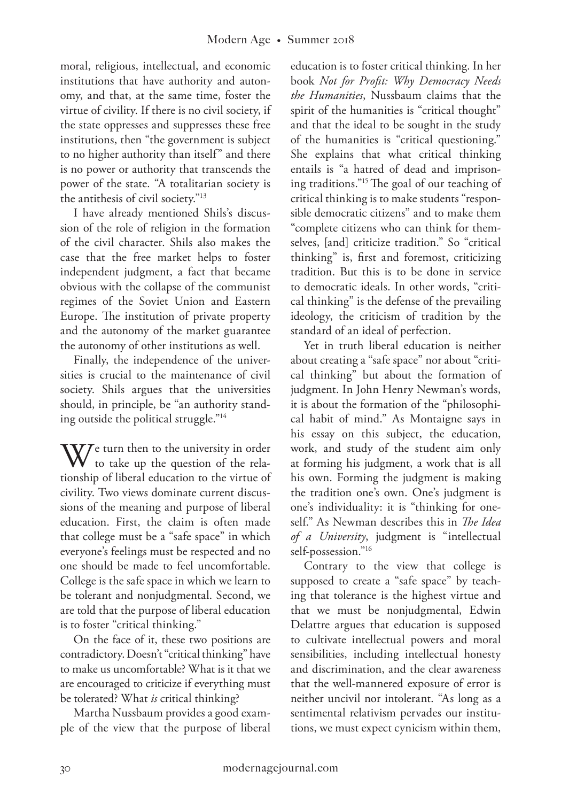moral, religious, intellectual, and economic institutions that have authority and autonomy, and that, at the same time, foster the virtue of civility. If there is no civil society, if the state oppresses and suppresses these free institutions, then "the government is subject to no higher authority than itself" and there is no power or authority that transcends the power of the state. "A totalitarian society is the antithesis of civil society."13

I have already mentioned Shils's discussion of the role of religion in the formation of the civil character. Shils also makes the case that the free market helps to foster independent judgment, a fact that became obvious with the collapse of the communist regimes of the Soviet Union and Eastern Europe. The institution of private property and the autonomy of the market guarantee the autonomy of other institutions as well.

Finally, the independence of the universities is crucial to the maintenance of civil society. Shils argues that the universities should, in principle, be "an authority standing outside the political struggle."14

We turn then to the university in order<br>to take up the question of the relationship of liberal education to the virtue of civility. Two views dominate current discussions of the meaning and purpose of liberal education. First, the claim is often made that college must be a "safe space" in which everyone's feelings must be respected and no one should be made to feel uncomfortable. College is the safe space in which we learn to be tolerant and nonjudgmental. Second, we are told that the purpose of liberal education is to foster "critical thinking."

On the face of it, these two positions are contradictory. Doesn't "critical thinking" have to make us uncomfortable? What is it that we are encouraged to criticize if everything must be tolerated? What *is* critical thinking?

Martha Nussbaum provides a good example of the view that the purpose of liberal

education is to foster critical thinking. In her book *Not for Profit: Why Democracy Needs the Humanities*, Nussbaum claims that the spirit of the humanities is "critical thought" and that the ideal to be sought in the study of the humanities is "critical questioning." She explains that what critical thinking entails is "a hatred of dead and imprisoning traditions."<sup>15</sup>The goal of our teaching of critical thinking is to make students "responsible democratic citizens" and to make them "complete citizens who can think for themselves, [and] criticize tradition." So "critical thinking" is, first and foremost, criticizing tradition. But this is to be done in service to democratic ideals. In other words, "critical thinking" is the defense of the prevailing ideology, the criticism of tradition by the standard of an ideal of perfection.

Yet in truth liberal education is neither about creating a "safe space" nor about "critical thinking" but about the formation of judgment. In John Henry Newman's words, it is about the formation of the "philosophical habit of mind." As Montaigne says in his essay on this subject, the education, work, and study of the student aim only at forming his judgment, a work that is all his own. Forming the judgment is making the tradition one's own. One's judgment is one's individuality: it is "thinking for oneself." As Newman describes this in *The Idea of a University*, judgment is "intellectual self-possession."16

Contrary to the view that college is supposed to create a "safe space" by teaching that tolerance is the highest virtue and that we must be nonjudgmental, Edwin Delattre argues that education is supposed to cultivate intellectual powers and moral sensibilities, including intellectual honesty and discrimination, and the clear awareness that the well-mannered exposure of error is neither uncivil nor intolerant. "As long as a sentimental relativism pervades our institutions, we must expect cynicism within them,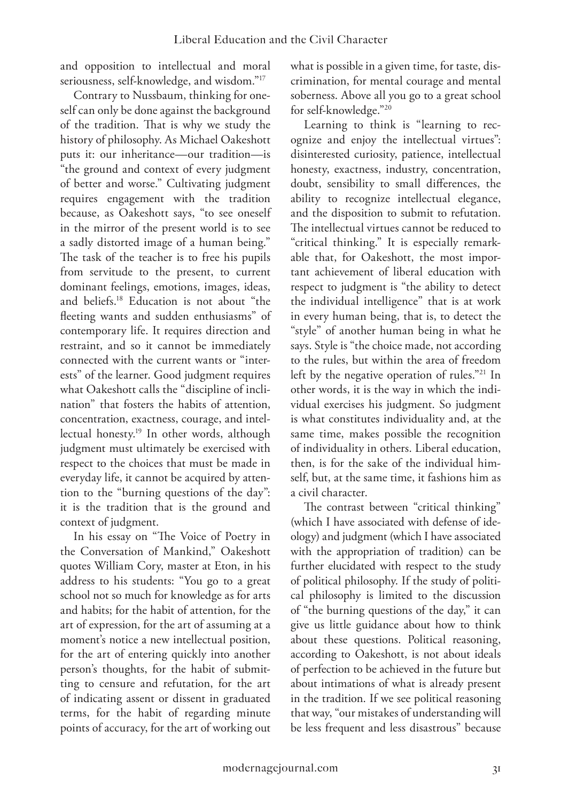and opposition to intellectual and moral seriousness, self-knowledge, and wisdom."17

Contrary to Nussbaum, thinking for oneself can only be done against the background of the tradition. That is why we study the history of philosophy. As Michael Oakeshott puts it: our inheritance—our tradition—is "the ground and context of every judgment of better and worse." Cultivating judgment requires engagement with the tradition because, as Oakeshott says, "to see oneself in the mirror of the present world is to see a sadly distorted image of a human being." The task of the teacher is to free his pupils from servitude to the present, to current dominant feelings, emotions, images, ideas, and beliefs.18 Education is not about "the fleeting wants and sudden enthusiasms" of contemporary life. It requires direction and restraint, and so it cannot be immediately connected with the current wants or "interests" of the learner. Good judgment requires what Oakeshott calls the "discipline of inclination" that fosters the habits of attention, concentration, exactness, courage, and intellectual honesty.<sup>19</sup> In other words, although judgment must ultimately be exercised with respect to the choices that must be made in everyday life, it cannot be acquired by attention to the "burning questions of the day": it is the tradition that is the ground and context of judgment.

In his essay on "The Voice of Poetry in the Conversation of Mankind," Oakeshott quotes William Cory, master at Eton, in his address to his students: "You go to a great school not so much for knowledge as for arts and habits; for the habit of attention, for the art of expression, for the art of assuming at a moment's notice a new intellectual position, for the art of entering quickly into another person's thoughts, for the habit of submitting to censure and refutation, for the art of indicating assent or dissent in graduated terms, for the habit of regarding minute points of accuracy, for the art of working out what is possible in a given time, for taste, discrimination, for mental courage and mental soberness. Above all you go to a great school for self-knowledge."20

Learning to think is "learning to recognize and enjoy the intellectual virtues": disinterested curiosity, patience, intellectual honesty, exactness, industry, concentration, doubt, sensibility to small differences, the ability to recognize intellectual elegance, and the disposition to submit to refutation. The intellectual virtues cannot be reduced to "critical thinking." It is especially remarkable that, for Oakeshott, the most important achievement of liberal education with respect to judgment is "the ability to detect the individual intelligence" that is at work in every human being, that is, to detect the "style" of another human being in what he says. Style is "the choice made, not according to the rules, but within the area of freedom left by the negative operation of rules."21 In other words, it is the way in which the individual exercises his judgment. So judgment is what constitutes individuality and, at the same time, makes possible the recognition of individuality in others. Liberal education, then, is for the sake of the individual himself, but, at the same time, it fashions him as a civil character.

The contrast between "critical thinking" (which I have associated with defense of ideology) and judgment (which I have associated with the appropriation of tradition) can be further elucidated with respect to the study of political philosophy. If the study of political philosophy is limited to the discussion of "the burning questions of the day," it can give us little guidance about how to think about these questions. Political reasoning, according to Oakeshott, is not about ideals of perfection to be achieved in the future but about intimations of what is already present in the tradition. If we see political reasoning that way, "our mistakes of understanding will be less frequent and less disastrous" because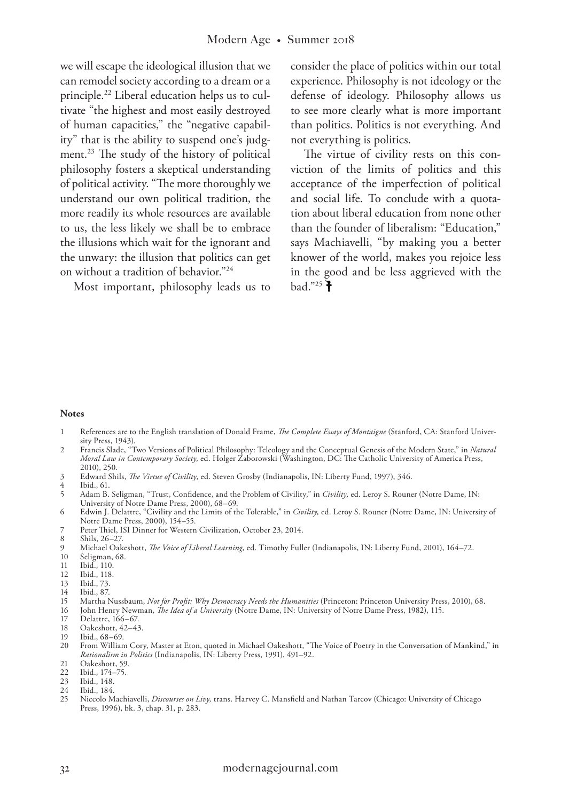we will escape the ideological illusion that we can remodel society according to a dream or a principle.22 Liberal education helps us to cultivate "the highest and most easily destroyed of human capacities," the "negative capability" that is the ability to suspend one's judgment.23 The study of the history of political philosophy fosters a skeptical understanding of political activity. "The more thoroughly we understand our own political tradition, the more readily its whole resources are available to us, the less likely we shall be to embrace the illusions which wait for the ignorant and the unwary: the illusion that politics can get on without a tradition of behavior."24

Most important, philosophy leads us to

consider the place of politics within our total experience. Philosophy is not ideology or the defense of ideology. Philosophy allows us to see more clearly what is more important than politics. Politics is not everything. And not everything is politics.

The virtue of civility rests on this conviction of the limits of politics and this acceptance of the imperfection of political and social life. To conclude with a quotation about liberal education from none other than the founder of liberalism: "Education," says Machiavelli, "by making you a better knower of the world, makes you rejoice less in the good and be less aggrieved with the bad."<sup>25</sup>

## **Notes**

- 1 References are to the English translation of Donald Frame, *The Complete Essays of Montaigne* (Stanford, CA: Stanford University Press, 1943).
- 2 Francis Slade, "Two Versions of Political Philosophy: Teleology and the Conceptual Genesis of the Modern State," in *Natural Moral Law in Contemporary Society,* ed. Holger Zaborowski (Washington, DC: The Catholic University of America Press, 2010), 250.
- 3 Edward Shils, *The Virtue of Civility,* ed. Steven Grosby (Indianapolis, IN: Liberty Fund, 1997), 346.
- Ibid., 61.
- 5 Adam B. Seligman, "Trust, Confidence, and the Problem of Civility," in *Civility,* ed. Leroy S. Rouner (Notre Dame, IN: University of Notre Dame Press, 2000), 68–69.
- 6 Edwin J. Delattre, "Civility and the Limits of the Tolerable," in *Civility,* ed. Leroy S. Rouner (Notre Dame, IN: University of Notre Dame Press, 2000), 154–55.
- 7 Peter Thiel, ISI Dinner for Western Civilization, October 23, 2014.<br>8 Shils. 26–27
- 8 Shils, 26–27.
- 9 Michael Oakeshott, *The Voice of Liberal Learning,* ed. Timothy Fuller (Indianapolis, IN: Liberty Fund, 2001), 164–72.
- 10 Seligman, 68.<br>11 Ibid., 110.
- Ibid., 110.
- 
- 12 Ibid., 118.<br>13 Ibid., 73. 13 Ibid., 73.
- Ibid., 87.
- 15 Martha Nussbaum, *Not for Profit: Why Democracy Needs the Humanities* (Princeton: Princeton University Press, 2010), 68.<br>16 Iohn Henry Newman. *The Idea of a University* (Notre Dame. IN: University of Notre Dame Press,
- 16 John Henry Newman, *The Idea of a University* (Notre Dame, IN: University of Notre Dame Press, 1982), 115.
- 17 Delattre, 166–67.
- 18 Oakeshott, 42–43.<br>19 Ibid 68–69
- Ibid., 68-69.
- 20 From William Cory, Master at Eton, quoted in Michael Oakeshott, "The Voice of Poetry in the Conversation of Mankind," in *Rationalism in Politics* (Indianapolis, IN: Liberty Press, 1991), 491–92.
- 21 Oakeshott, 59.<br>22 Ibid., 174–75.
- Ibid., 174-75.
- 23 Ibid., 148.
- 24 Ibid., 184.<br>25 Niccolo M
- 25 Niccolo Machiavelli, *Discourses on Livy,* trans. Harvey C. Mansfield and Nathan Tarcov (Chicago: University of Chicago Press, 1996), bk. 3, chap. 31, p. 283.